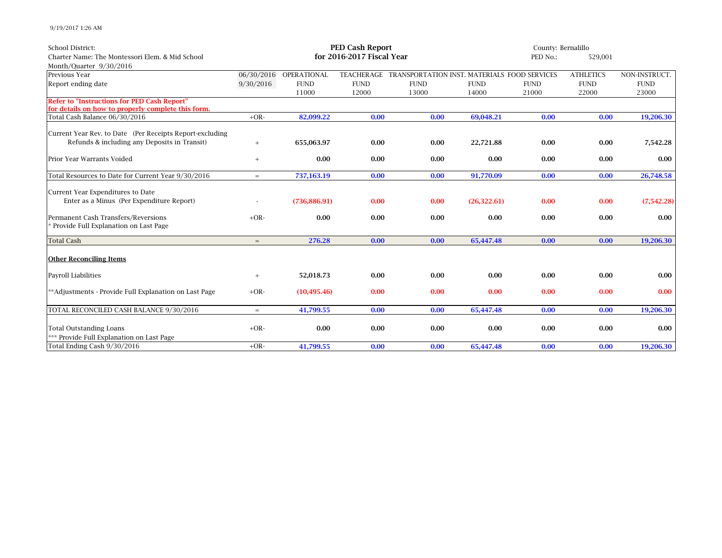9/19/2017 1:26 AM

| <b>School District:</b>                                                                                  | <b>PED Cash Report</b> |                        |                           |                                              |              |             | County: Bernalillo |               |  |
|----------------------------------------------------------------------------------------------------------|------------------------|------------------------|---------------------------|----------------------------------------------|--------------|-------------|--------------------|---------------|--|
| Charter Name: The Montessori Elem. & Mid School                                                          |                        |                        | for 2016-2017 Fiscal Year | PED No.:                                     | 529,001      |             |                    |               |  |
| Month/Quarter 9/30/2016                                                                                  |                        |                        |                           |                                              |              |             |                    |               |  |
| Previous Year                                                                                            |                        | 06/30/2016 OPERATIONAL | TEACHERAGE                | TRANSPORTATION INST. MATERIALS FOOD SERVICES |              |             | <b>ATHLETICS</b>   | NON-INSTRUCT. |  |
| Report ending date                                                                                       | 9/30/2016              | <b>FUND</b>            | <b>FUND</b>               | <b>FUND</b>                                  | <b>FUND</b>  | <b>FUND</b> | <b>FUND</b>        | <b>FUND</b>   |  |
|                                                                                                          |                        | 11000                  | 12000                     | 13000                                        | 14000        | 21000       | 22000              | 23000         |  |
| <b>Refer to "Instructions for PED Cash Report"</b><br>for details on how to properly complete this form. |                        |                        |                           |                                              |              |             |                    |               |  |
| Total Cash Balance 06/30/2016                                                                            | $+OR-$                 | 82,099.22              | 0.00                      | 0.00                                         | 69,048.21    | 0.00        | 0.00               | 19,206.30     |  |
| Current Year Rev. to Date (Per Receipts Report-excluding                                                 |                        |                        |                           |                                              |              |             |                    |               |  |
| Refunds & including any Deposits in Transit)                                                             | $^{+}$                 | 655,063.97             | 0.00                      | 0.00                                         | 22,721.88    | 0.00        | 0.00               | 7,542.28      |  |
| Prior Year Warrants Voided                                                                               | $^{+}$                 | 0.00                   | 0.00                      | 0.00                                         | 0.00         | 0.00        | 0.00               | 0.00          |  |
| Total Resources to Date for Current Year 9/30/2016                                                       | $=$                    | 737,163.19             | 0.00                      | 0.00                                         | 91,770.09    | 0.00        | 0.00               | 26,748.58     |  |
| Current Year Expenditures to Date                                                                        |                        |                        |                           |                                              |              |             |                    |               |  |
| Enter as a Minus (Per Expenditure Report)                                                                |                        | (736, 886.91)          | 0.00                      | 0.00                                         | (26, 322.61) | 0.00        | 0.00               | (7,542.28)    |  |
| Permanent Cash Transfers/Reversions                                                                      | $+OR-$                 | 0.00                   | 0.00                      | 0.00                                         | 0.00         | 0.00        | 0.00               | 0.00          |  |
| Provide Full Explanation on Last Page                                                                    |                        |                        |                           |                                              |              |             |                    |               |  |
| <b>Total Cash</b>                                                                                        | $=$                    | 276.28                 | 0.00                      | 0.00                                         | 65,447.48    | 0.00        | 0.00               | 19,206.30     |  |
| <b>Other Reconciling Items</b>                                                                           |                        |                        |                           |                                              |              |             |                    |               |  |
| Payroll Liabilities                                                                                      | $\qquad \qquad +$      | 52,018.73              | 0.00                      | 0.00                                         | 0.00         | 0.00        | 0.00               | 0.00          |  |
| **Adjustments - Provide Full Explanation on Last Page                                                    | $+OR-$                 | (10, 495.46)           | 0.00                      | 0.00                                         | 0.00         | 0.00        | 0.00               | 0.00          |  |
| TOTAL RECONCILED CASH BALANCE 9/30/2016                                                                  | $=$                    | 41,799.55              | 0.00                      | 0.00                                         | 65,447.48    | 0.00        | 0.00               | 19,206.30     |  |
| <b>Total Outstanding Loans</b>                                                                           | $+OR-$                 | 0.00                   | 0.00                      | 0.00                                         | 0.00         | 0.00        | 0.00               | 0.00          |  |
| *** Provide Full Explanation on Last Page                                                                |                        |                        |                           |                                              |              |             |                    |               |  |
| Total Ending Cash 9/30/2016                                                                              | $+OR-$                 | 41,799.55              | 0.00                      | 0.00                                         | 65.447.48    | 0.00        | 0.00               | 19,206.30     |  |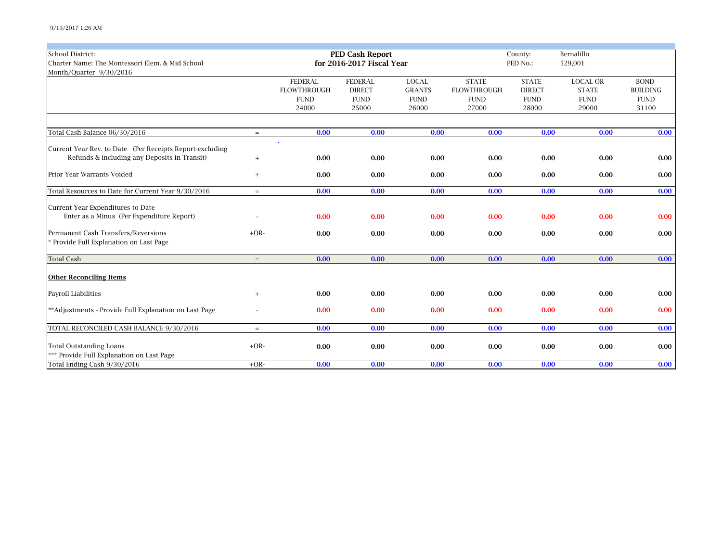| <b>School District:</b><br>Charter Name: The Montessori Elem. & Mid School<br>Month/Quarter 9/30/2016 |        |                    | <b>PED Cash Report</b><br>for 2016-2017 Fiscal Year |               | Bernalillo<br>County:<br>PED No.:<br>529,001 |               |                 |                 |
|-------------------------------------------------------------------------------------------------------|--------|--------------------|-----------------------------------------------------|---------------|----------------------------------------------|---------------|-----------------|-----------------|
|                                                                                                       |        | <b>FEDERAL</b>     | <b>FEDERAL</b>                                      | <b>LOCAL</b>  | <b>STATE</b>                                 | <b>STATE</b>  | <b>LOCAL OR</b> | <b>BOND</b>     |
|                                                                                                       |        | <b>FLOWTHROUGH</b> | <b>DIRECT</b>                                       | <b>GRANTS</b> | <b>FLOWTHROUGH</b>                           | <b>DIRECT</b> | <b>STATE</b>    | <b>BUILDING</b> |
|                                                                                                       |        | <b>FUND</b>        | <b>FUND</b>                                         | <b>FUND</b>   | <b>FUND</b>                                  | <b>FUND</b>   | <b>FUND</b>     | <b>FUND</b>     |
|                                                                                                       |        | 24000              | 25000                                               | 26000         | 27000                                        | 28000         | 29000           | 31100           |
|                                                                                                       |        |                    |                                                     |               |                                              |               |                 |                 |
| Total Cash Balance 06/30/2016                                                                         | $=$    | 0.00               | 0.00                                                | 0.00          | 0.00                                         | 0.00          | 0.00            | 0.00            |
| Current Year Rev. to Date (Per Receipts Report-excluding                                              |        |                    |                                                     |               |                                              |               |                 |                 |
| Refunds & including any Deposits in Transit)                                                          | $^{+}$ | 0.00               | 0.00                                                | 0.00          | 0.00                                         | 0.00          | 0.00            | 0.00            |
| Prior Year Warrants Voided                                                                            | $+$    | 0.00               | 0.00                                                | 0.00          | 0.00                                         | 0.00          | 0.00            | 0.00            |
| Total Resources to Date for Current Year 9/30/2016                                                    | $=$    | 0.00               | 0.00                                                | 0.00          | 0.00                                         | 0.00          | 0.00            | 0.00            |
| Current Year Expenditures to Date                                                                     |        |                    |                                                     |               |                                              |               |                 |                 |
| Enter as a Minus (Per Expenditure Report)                                                             |        | 0.00               | 0.00                                                | 0.00          | 0.00                                         | 0.00          | 0.00            | 0.00            |
| Permanent Cash Transfers/Reversions                                                                   | $+OR-$ | 0.00               | 0.00                                                | 0.00          | 0.00                                         | 0.00          | 0.00            | 0.00            |
| * Provide Full Explanation on Last Page                                                               |        |                    |                                                     |               |                                              |               |                 |                 |
| <b>Total Cash</b>                                                                                     | $=$    | 0.00               | 0.00                                                | 0.00          | 0.00                                         | 0.00          | 0.00            | 0.00            |
| <b>Other Reconciling Items</b>                                                                        |        |                    |                                                     |               |                                              |               |                 |                 |
| Payroll Liabilities                                                                                   | $^{+}$ | 0.00               | 0.00                                                | 0.00          | 0.00                                         | 0.00          | 0.00            | 0.00            |
| **Adjustments - Provide Full Explanation on Last Page                                                 |        | 0.00               | 0.00                                                | 0.00          | 0.00                                         | 0.00          | 0.00            | 0.00            |
| TOTAL RECONCILED CASH BALANCE 9/30/2016                                                               | $=$    | 0.00               | 0.00                                                | 0.00          | 0.00                                         | 0.00          | 0.00            | 0.00            |
| <b>Total Outstanding Loans</b>                                                                        | $+OR-$ | 0.00               | 0.00                                                | 0.00          | 0.00                                         | 0.00          | 0.00            | 0.00            |
| *** Provide Full Explanation on Last Page                                                             |        |                    |                                                     |               |                                              |               |                 |                 |
| Total Ending Cash 9/30/2016                                                                           | $+OR-$ | 0.00               | 0.00                                                | 0.00          | 0.00                                         | 0.00          | 0.00            | 0.00            |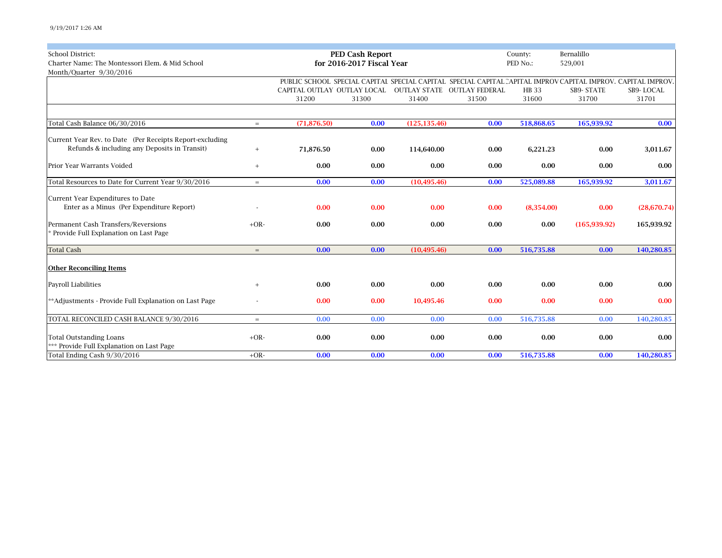| <b>School District:</b><br>Charter Name: The Montessori Elem. & Mid School |        |                                                                    | <b>PED Cash Report</b><br>for 2016-2017 Fiscal Year | County:<br>PED No.: | Bernalillo |                       |                                                                                                              |                    |
|----------------------------------------------------------------------------|--------|--------------------------------------------------------------------|-----------------------------------------------------|---------------------|------------|-----------------------|--------------------------------------------------------------------------------------------------------------|--------------------|
| Month/Quarter 9/30/2016                                                    |        |                                                                    |                                                     |                     |            |                       | 529,001                                                                                                      |                    |
|                                                                            |        |                                                                    |                                                     |                     |            |                       | PUBLIC SCHOOL SPECIAL CAPITAI SPECIAL CAPITAL SPECIAL CAPITAL CAPITAL IMPROV CAPITAL IMPROV. CAPITAL IMPROV. |                    |
|                                                                            |        | CAPITAL OUTLAY OUTLAY LOCAL  OUTLAY STATE  OUTLAY FEDERAL<br>31200 | 31300                                               | 31400               | 31500      | <b>HB</b> 33<br>31600 | <b>SB9- STATE</b><br>31700                                                                                   | SB9-LOCAL<br>31701 |
|                                                                            |        |                                                                    |                                                     |                     |            |                       |                                                                                                              |                    |
| Total Cash Balance 06/30/2016                                              | $=$    | (71, 876.50)                                                       | 0.00                                                | (125, 135.46)       | 0.00       | 518,868.65            | 165,939.92                                                                                                   | 0.00               |
| Current Year Rev. to Date (Per Receipts Report-excluding                   |        |                                                                    |                                                     |                     |            |                       |                                                                                                              |                    |
| Refunds & including any Deposits in Transit)                               | $^{+}$ | 71,876.50                                                          | 0.00                                                | 114,640.00          | 0.00       | 6,221.23              | 0.00                                                                                                         | 3,011.67           |
| Prior Year Warrants Voided                                                 | $^{+}$ | 0.00                                                               | 0.00                                                | 0.00                | 0.00       | 0.00                  | 0.00                                                                                                         | 0.00               |
| Total Resources to Date for Current Year 9/30/2016                         | $=$    | 0.00                                                               | 0.00                                                | (10, 495.46)        | 0.00       | 525,089.88            | 165,939.92                                                                                                   | 3,011.67           |
| Current Year Expenditures to Date                                          |        |                                                                    |                                                     |                     |            |                       |                                                                                                              |                    |
| Enter as a Minus (Per Expenditure Report)                                  |        | 0.00                                                               | 0.00                                                | 0.00                | 0.00       | (8,354.00)            | 0.00                                                                                                         | (28, 670.74)       |
| Permanent Cash Transfers/Reversions                                        | $+OR-$ | 0.00                                                               | 0.00                                                | 0.00                | 0.00       | 0.00                  | (165, 939.92)                                                                                                | 165,939.92         |
| * Provide Full Explanation on Last Page                                    |        |                                                                    |                                                     |                     |            |                       |                                                                                                              |                    |
| <b>Total Cash</b>                                                          | $=$    | 0.00                                                               | 0.00                                                | (10, 495.46)        | 0.00       | 516,735.88            | 0.00                                                                                                         | 140,280.85         |
| <b>Other Reconciling Items</b>                                             |        |                                                                    |                                                     |                     |            |                       |                                                                                                              |                    |
| Payroll Liabilities                                                        |        | 0.00                                                               | 0.00                                                | 0.00                | 0.00       | 0.00                  | 0.00                                                                                                         | 0.00               |
| **Adjustments - Provide Full Explanation on Last Page                      |        | 0.00                                                               | 0.00                                                | 10,495.46           | 0.00       | 0.00                  | 0.00                                                                                                         | 0.00               |
| TOTAL RECONCILED CASH BALANCE 9/30/2016                                    | $=$    | 0.00                                                               | 0.00                                                | 0.00                | 0.00       | 516,735.88            | 0.00                                                                                                         | 140,280.85         |
| <b>Total Outstanding Loans</b>                                             | $+OR-$ | 0.00                                                               | 0.00                                                | 0.00                | 0.00       | 0.00                  | 0.00                                                                                                         | 0.00               |
| *** Provide Full Explanation on Last Page                                  |        |                                                                    |                                                     |                     |            |                       |                                                                                                              |                    |
| Total Ending Cash 9/30/2016                                                | $+OR-$ | 0.00                                                               | 0.00                                                | 0.00                | 0.00       | 516,735.88            | 0.00                                                                                                         | 140,280.85         |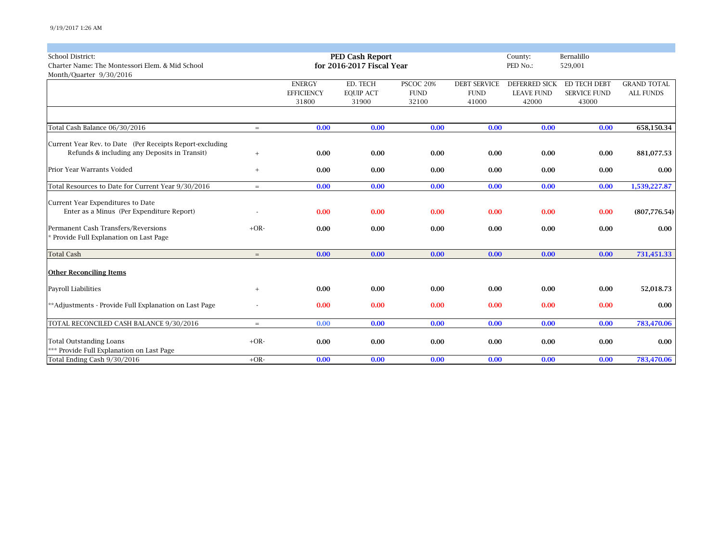| <b>School District:</b>                                  |        |                   | <b>PED Cash Report</b>    |             |                     | County:              | Bernalillo          |                    |
|----------------------------------------------------------|--------|-------------------|---------------------------|-------------|---------------------|----------------------|---------------------|--------------------|
| Charter Name: The Montessori Elem. & Mid School          |        |                   | for 2016-2017 Fiscal Year |             |                     | PED No.:             | 529,001             |                    |
| Month/Quarter 9/30/2016                                  |        |                   |                           |             |                     |                      |                     |                    |
|                                                          |        | <b>ENERGY</b>     | ED. TECH                  | PSCOC 20%   | <b>DEBT SERVICE</b> | <b>DEFERRED SICK</b> | <b>ED TECH DEBT</b> | <b>GRAND TOTAL</b> |
|                                                          |        | <b>EFFICIENCY</b> | <b>EQUIP ACT</b>          | <b>FUND</b> | <b>FUND</b>         | <b>LEAVE FUND</b>    | <b>SERVICE FUND</b> | <b>ALL FUNDS</b>   |
|                                                          |        | 31800             | 31900                     | 32100       | 41000               | 42000                | 43000               |                    |
|                                                          |        |                   |                           |             |                     |                      |                     |                    |
| Total Cash Balance 06/30/2016                            | $=$    | 0.00              | 0.00                      | 0.00        | 0.00                | 0.00                 | 0.00                | 658,150.34         |
| Current Year Rev. to Date (Per Receipts Report-excluding |        |                   |                           |             |                     |                      |                     |                    |
| Refunds & including any Deposits in Transit)             | $+$    | 0.00              | 0.00                      | 0.00        | 0.00                | 0.00                 | 0.00                | 881,077.53         |
| Prior Year Warrants Voided                               | $^{+}$ | 0.00              | 0.00                      | 0.00        | 0.00                | 0.00                 | 0.00                | 0.00               |
|                                                          |        |                   |                           |             |                     |                      |                     |                    |
| Total Resources to Date for Current Year 9/30/2016       | $=$    | 0.00              | 0.00                      | 0.00        | 0.00                | 0.00                 | 0.00                | 1,539,227.87       |
| Current Year Expenditures to Date                        |        |                   |                           |             |                     |                      |                     |                    |
| Enter as a Minus (Per Expenditure Report)                |        | 0.00              | 0.00                      | 0.00        | 0.00                | 0.00                 | 0.00                | (807, 776.54)      |
| Permanent Cash Transfers/Reversions                      | $+OR-$ | 0.00              | 0.00                      | 0.00        | 0.00                | 0.00                 | 0.00                | 0.00               |
| Provide Full Explanation on Last Page                    |        |                   |                           |             |                     |                      |                     |                    |
| <b>Total Cash</b>                                        | $=$    | 0.00              | 0.00                      | 0.00        | 0.00                | 0.00                 | 0.00                | 731,451.33         |
| <b>Other Reconciling Items</b>                           |        |                   |                           |             |                     |                      |                     |                    |
| <b>Payroll Liabilities</b>                               | $^{+}$ | 0.00              | 0.00                      | 0.00        | 0.00                | 0.00                 | 0.00                | 52,018.73          |
| **Adjustments - Provide Full Explanation on Last Page    |        | 0.00              | 0.00                      | 0.00        | 0.00                | 0.00                 | 0.00                | 0.00               |
|                                                          |        |                   |                           |             |                     |                      |                     |                    |
| TOTAL RECONCILED CASH BALANCE 9/30/2016                  | $=$    | 0.00              | 0.00                      | 0.00        | 0.00                | 0.00                 | 0.00                | 783,470.06         |
| <b>Total Outstanding Loans</b>                           | $+OR-$ | 0.00              | 0.00                      | 0.00        | 0.00                | 0.00                 | 0.00                | 0.00               |
| *** Provide Full Explanation on Last Page                |        |                   |                           |             |                     |                      |                     |                    |
| Total Ending Cash 9/30/2016                              | $+OR-$ | 0.00              | 0.00                      | 0.00        | 0.00                | 0.00                 | 0.00                | 783,470.06         |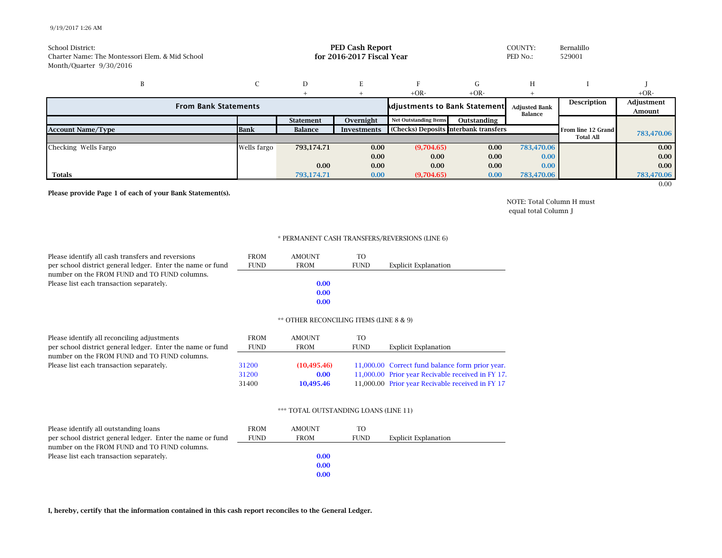## 9/19/2017 1:26 AM

| School District:<br>Charter Name: The Montessori Elem, & Mid School<br>Month/Quarter 9/30/2016 | <b>PED Cash Report</b><br>for 2016-2017 Fiscal Year |                  |                    |                                       |                    | COUNTY:<br>PED No.:            | Bernalillo<br>529001 |            |
|------------------------------------------------------------------------------------------------|-----------------------------------------------------|------------------|--------------------|---------------------------------------|--------------------|--------------------------------|----------------------|------------|
| B                                                                                              |                                                     | D                | E                  |                                       | G                  | H                              |                      |            |
| $+OR-$<br>$+OR-$<br><b>Adjustments to Bank Statement</b><br><b>From Bank Statements</b>        |                                                     |                  |                    | <b>Adjusted Bank</b><br>Balance       | <b>Description</b> | $+OR-$<br>Adjustment<br>Amount |                      |            |
|                                                                                                |                                                     | <b>Statement</b> | Overnight          | <b>Net Outstanding Items</b>          | Outstanding        |                                |                      |            |
| <b>Account Name/Type</b>                                                                       | <b>Bank</b>                                         | Balance          | <b>Investments</b> | (Checks) Deposits Interbank transfers |                    |                                | From line 12 Grand   | 783,470.06 |
|                                                                                                |                                                     |                  |                    |                                       |                    |                                | <b>Total All</b>     |            |
| Checking Wells Fargo                                                                           | Wells fargo                                         | 793,174.71       | 0.00               | (9,704.65)                            | 0.00               | 783,470.06                     |                      | 0.00       |
|                                                                                                |                                                     |                  | 0.00               | 0.00                                  | 0.00               | 0.00                           |                      | 0.00       |
|                                                                                                |                                                     | 0.00             | 0.00               | 0.00                                  | 0.00               | 0.00                           |                      | 0.00       |
| <b>Totals</b>                                                                                  |                                                     | 793.174.71       | 0.00               | (9,704.65)                            | 0.00               | 783,470.06                     |                      | 783,470.06 |
|                                                                                                |                                                     |                  |                    |                                       |                    |                                |                      | 0.00       |

**Please provide Page 1 of each of your Bank Statement(s).**

NOTE: Total Column H must equal total Column J

## \* PERMANENT CASH TRANSFERS/REVERSIONS (LINE 6)

| Please identify all cash transfers and reversions          | <b>FROM</b> | <b>AMOUNT</b> | T <sub>O</sub> |                      |
|------------------------------------------------------------|-------------|---------------|----------------|----------------------|
| per school district general ledger. Enter the name or fund | <b>FUND</b> | <b>FROM</b>   | <b>FUND</b>    | Explicit Explanation |
| number on the FROM FUND and TO FUND columns.               |             |               |                |                      |
| Please list each transaction separately.                   |             | 0.00          |                |                      |
|                                                            |             | 0.00          |                |                      |
|                                                            |             | 0.00          |                |                      |
|                                                            |             |               |                |                      |

## \*\* OTHER RECONCILING ITEMS (LINE 8 & 9)

| Please identify all reconciling adjustments                | <b>FROM</b> | <b>AMOUNT</b> | TO          |                                                   |
|------------------------------------------------------------|-------------|---------------|-------------|---------------------------------------------------|
| per school district general ledger. Enter the name or fund | <b>FUND</b> | <b>FROM</b>   | <b>FUND</b> | Explicit Explanation                              |
| number on the FROM FUND and TO FUND columns.               |             |               |             |                                                   |
| Please list each transaction separately.                   | 31200       | (10.495.46)   |             | 11,000.00 Correct fund balance form prior year.   |
|                                                            | 31200       | 0.00          |             | 11,000.00 Prior year Recivable received in FY 17. |
|                                                            | 31400       | 10.495.46     |             | 11,000.00 Prior year Recivable received in FY 17  |

## \*\*\* TOTAL OUTSTANDING LOANS (LINE 11)

| Please identify all outstanding loans                      | <b>FROM</b> | <b>AMOUNT</b> | TΟ          |                             |
|------------------------------------------------------------|-------------|---------------|-------------|-----------------------------|
| per school district general ledger. Enter the name or fund | <b>FUND</b> | <b>FROM</b>   | <b>FUND</b> | <b>Explicit Explanation</b> |
| number on the FROM FUND and TO FUND columns.               |             |               |             |                             |
| Please list each transaction separately.                   |             | 0.00          |             |                             |
|                                                            |             | 0.00          |             |                             |
|                                                            |             | 0.00          |             |                             |

**I, hereby, certify that the information contained in this cash report reconciles to the General Ledger.**